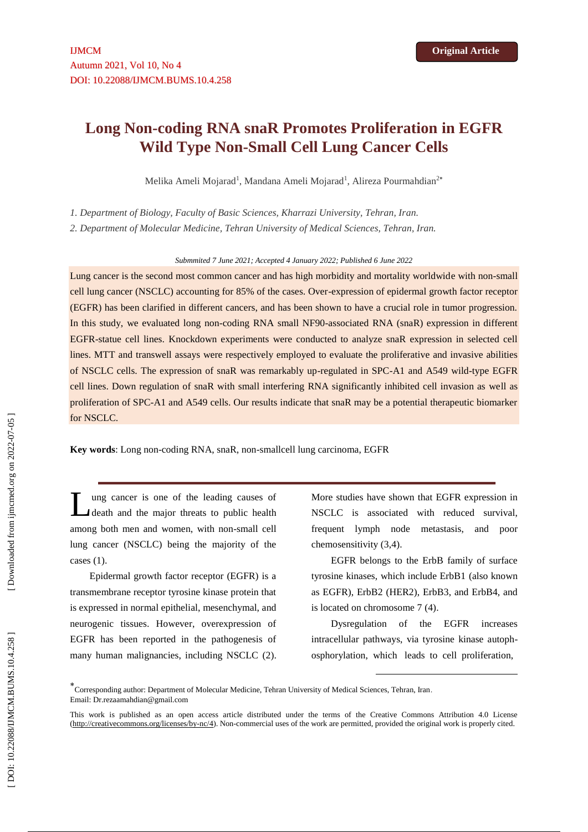# **Long Non -coding RNA snaR Promotes Proliferation in EGFR Wild Type Non -Small Cell Lung Cancer Cells**

Melika Ameli Mojarad<sup>1</sup>, Mandana Ameli Mojarad<sup>1</sup>, Alireza Pourmahdian<sup>2</sup>\*

*1. Department of Biology, Faculty of Basic Sciences, Kharrazi University, Tehran, Iran.* 

*2. Department of Molecular Medicine, Tehran University of Medical Sciences, Tehran, Iran.*

*Submmited 7 June 2021; Accepted 4 January 2022; Published 6 June 2022*

Lung cancer is the second most common cancer and has high morbidity and mortality worldwide with non -small cell lung cancer (NSCLC) accounting for 85% of the cases. Over -expression of epidermal growth factor receptor (EGFR) has been clarified in different cancers, and has been shown to have a crucial role in tumor progression. In this study, we evaluated long non -coding RNA small NF90 -associated RNA (snaR) expression in different EGFR -statue cell lines. Knockdown experiments were conducted to analyze snaR expression in selected cell lines. MTT and transwell assays were respectively employed to evaluate the proliferative and invasive abilities of NSCLC cells. The expression of snaR was remarkably up -regulated in SPC -A1 and A549 wild -type EGFR cell lines. Down regulation of snaR with small interfering RNA significantly inhibited cell invasion as well as proliferation of SPC-A1 and A549 cells. Our results indicate that snaR may be a potential therapeutic biomarker for NSCLC.

**Key words** : Long non -coding RNA, snaR, non -smallcell lung carcinoma, EGFR

ung cancer is one of the leading causes of death and the major threats to public health among both men and women, with non -small cell lung cancer (NSCLC) being the majority of the cases (1) . L

Epidermal growth factor receptor (EGFR) is a transmembrane receptor tyrosine kinase protein that is expressed in normal epithelial, mesenchymal, and neurogenic tissues. However, overexpression of EGFR has been reported in the pathogenesis of many human malignancies, including NSCLC (2).

More studies have shown that EGFR expression in NSCLC is associated with reduced survival, frequent lymph node metastasis, and poor chemosensitivity (3,4) .

EGFR belongs to the ErbB family of surface tyrosine kinases, which include ErbB1 (also known as EGFR), ErbB2 (HER2), ErbB3, and ErbB4, and is located on chromosome 7 (4) .

Dysregulation of the EGFR increases intracellular pathways, via tyrosine kinase autoph osphorylation, which leads to cell proliferation,

**.** 

<sup>\*&</sup>lt;br>Corresponding author: Department of Molecular Medicine, Tehran University of Medical Sciences, Tehran, Iran. Email[: Dr.rezaamahdian@gmail.com](mailto:Dr.rezaamahdian@gmail.com)

This work is published as an open access article distributed under the terms of the Creative Commons Attribution 4.0 License [\(http://creativecommons.org/licenses/by-nc/4\)](http://creativecommons.org/licenses/by-nc/4). Non-commercial uses of the work are permitted, provided the original work is properly cited.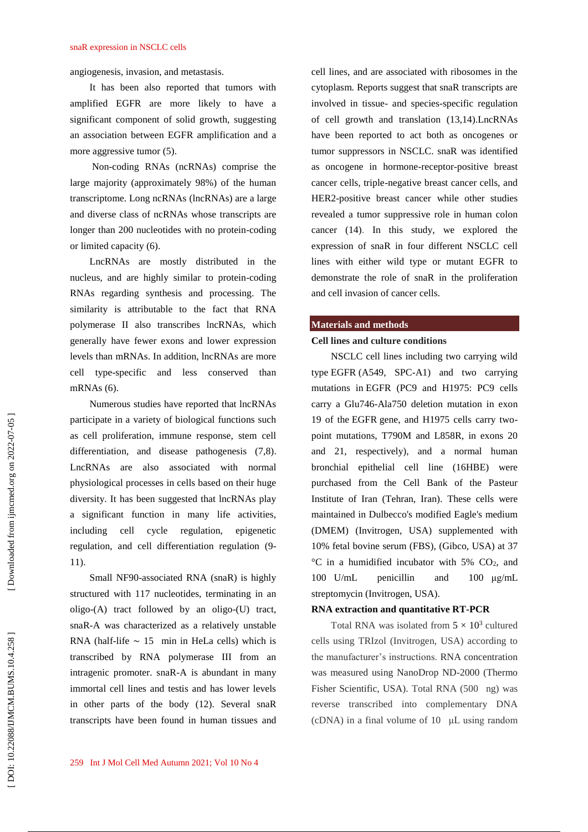angiogenesis, invasion, and metastasis .

It has been also reported that tumors with amplified EGFR are more likely to have a significant component of solid growth, suggesting an association between EGFR amplification and a more aggressive tumor (5) .

Non -coding RNAs (ncRNAs) comprise the large majority (approximately 98%) of the human transcriptome. Long ncRNAs (lncRNAs) are a large and diverse class of ncRNAs whose transcripts are longer than 200 nucleotides with no protein -coding or limited capacity (6) .

LncRNAs are mostly distributed in the nucleus, and are highly similar to protein -coding RNAs regarding synthesis and processing. The similarity is attributable to the fact that RNA polymerase II also transcribes lncRNAs, which generally have fewer exons and lower expression levels than mRNAs. In addition, lncRNAs are more cell type -specific and less conserved than mRNAs (6) .

Numerous studies have reported that lncRNAs participate in a variety of biological functions such as cell proliferation, immune response, stem cell differentiation, and disease pathogenesis (7,8). LncRNAs are also associated with normal physiological processes in cells based on their huge diversity. It has been suggested that lncRNAs play a significant function in many life activities, including cell cycle regulation, epigenetic regulation, and cell differentiation regulation ( 9 - 11) .

Small NF90 -associated RNA (snaR) is highly structured with 117 nucleotides, terminating in an oligo -(A) tract followed by an oligo -(U) tract, snaR -A was characterized as a relatively unstable RNA (half-life  $\sim$  15 min in HeLa cells) which is transcribed by RNA polymerase III from an intragenic promoter. snaR -A is abundant in many immortal cell lines and testis and has lower levels in other parts of the body (12) . Several snaR transcripts have been found in human tissues and cell lines, and are associated with ribosomes in the cytoplasm. Reports suggest that snaR transcripts are involved in tissue - and species -specific regulation of cell growth and translation (13,14).LncRNAs have been reported to act both as oncogenes or tumor suppressors in NSCLC. snaR was identified as oncogene in hormone -receptor -positive breast cancer cells, triple -negative breast cancer cells, and HER2 -positive breast cancer while other studies revealed a tumor suppressive role in human colon cancer (14). In this study, we explored the expression of snaR in four different NSCLC cell lines with either wild type or mutant EGFR to demonstrate the role of snaR in the proliferation and cell invasion of cancer cells.

## **Materials and methods**

#### **Cell lines and culture conditions**

NSCLC cell lines including two carrying wild type EGFR (A549, SPC -A1) and two carrying mutations in EGFR (PC9 and H1975: PC9 cells carry a Glu746 -Ala750 deletion mutation in exon 19 of the EGFR gene, and H1975 cells carry two point mutations, T790M and L858R, in exons 20 and 21, respectively), and a normal human bronchial epithelial cell line (16HBE) were purchased from the Cell Bank of the Pasteur Institute of Iran (Tehran, Iran). These cells were maintained in Dulbecco's modified Eagle's medium (DMEM) (Invitrogen, USA) supplemented with 10% fetal bovine serum (FBS), (Gibco, USA) at 37  $\rm{^{\circ}C}$  in a humidified incubator with 5% CO<sub>2</sub>, and 100 U/mL penicillin and 100 μg/m L streptomycin (Invitrogen, USA).

## **RNA extraction and quantitative RT -PCR**

Total RNA was isolated from  $5 \times 10^3$  cultured cells using TRIzol (Invitrogen, USA) according to the manufacturer's instructions. RNA concentration was measured using NanoDrop ND -2000 (Thermo Fisher Scientific, USA). Total RNA (500 ng) was reverse transcribed into complementary DNA (cDNA) in a final volume of 10 μL using random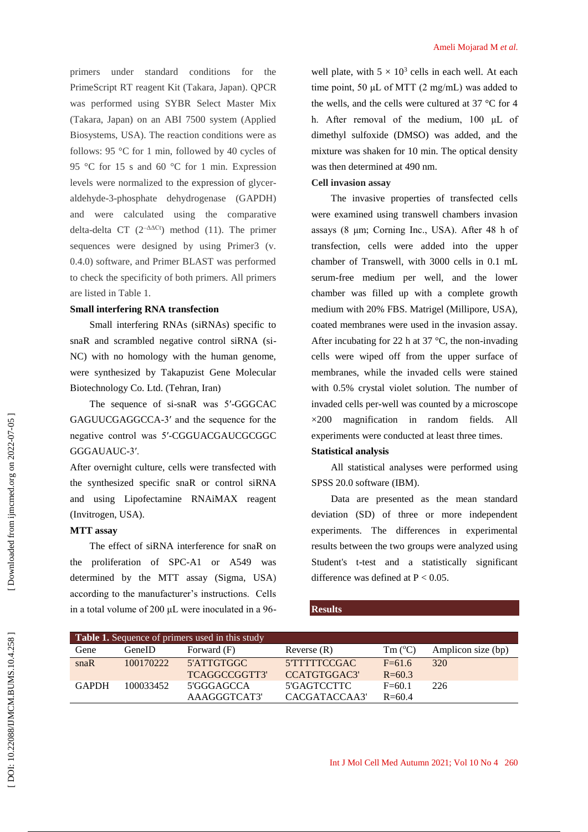primers under standard conditions for the PrimeScript RT reagent Kit (Takara, Japan). QPCR was performed using SYBR Select Master Mix (Takara, Japan) on an ABI 7500 system (Applied Biosystems, USA). The reaction conditions were as follows: 95 °C for 1 min, followed by 40 cycles of 95 °C for 15 s and 60 °C for 1 min. Expression levels were normalized to the expression of glycer aldehyde - 3 -phosphate dehydrogenase (GAPDH) and were calculated using the comparative delta-delta CT  $(2^{-\Delta\Delta Ct})$  method (11). The primer sequences were designed by using Primer3 (v. 0.4.0) software, and Primer BLAST was performed to check the specificity of both primers. All primers are listed in Table 1.

## **Small interfering RNA transfection**

Small interfering RNAs (siRNAs) specific to snaR and scrambled negative control siRNA (si - NC) with no homology with the human genome, were synthesized by Takapuzist Gene Molecular Biotechnology Co. Ltd. (Tehran, Iran)

The sequence of si-snaR was 5'-GGGCAC GAGUUCGAGGCCA -3′ and the sequence for the negative control was 5′ -CGGUACGAUCGCGGC GGGAUAUC -3′.

After overnight culture, cells were transfected with the synthesized specific snaR or control siRNA and using Lipofectamine RNAiMAX reagent (Invitrogen, USA).

## **MTT assay**

The effect of siRNA interference for snaR on the proliferation of SPC -A1 or A549 was determined by the MTT assay (Sigma, USA ) according to the manufacturer's instructions. Cells in a total volume of 200 μL were inoculated in a 96 -

well plate, with  $5 \times 10^3$  cells in each well. At each time point, 50 μL of MTT (2 mg/mL) was added to the wells, and the cells were cultured at 37 °C for 4 h. After removal of the medium, 100 μL of dimethyl sulfoxide (DMSO) was added, and the mixture was shaken for 10 min. The optical density was then determined at 490 nm.

## **Cell invasion assay**

The invasive properties of transfected cells were examined using transwell chambers invasion assays (8 μm; Corning Inc., USA). After 48 h of transfection, cells were added into the upper chamber of Transwell, with 3000 cells in 0.1 mL serum -free medium per well, and the lower chamber was filled up with a complete growth medium with 20% FBS. Matrigel (Millipore, USA), coated membranes were used in the invasion assay. After incubating for 22 h at 37  $\degree$ C, the non-invading cells were wiped off from the upper surface of membranes, while the invaded cells were stained with 0.5% crystal violet solution. The number of invaded cells per -well was counted by a microscope ×200 magnification in random fields. All experiments were conducted at least three times.

## **Statistical analysis**

All statistical analyses were performed using SPSS 20.0 software (IBM).

Data are presented as the mean standard deviation (SD) of three or more independent experiments. The differences in experimental results between the two groups were analyzed using Student's t -test and a statistically significant difference was defined at  $P < 0.05$ .

## **Results**

| <b>Table 1.</b> Sequence of primers used in this study |           |               |               |                      |                    |
|--------------------------------------------------------|-----------|---------------|---------------|----------------------|--------------------|
| Gene                                                   | GeneID)   | Forward (F)   | Reverse $(R)$ | $Tm$ ( $^{\circ}$ C) | Amplicon size (bp) |
| snaR                                                   | 100170222 | 5'ATTGTGGC    | 5 TTTTTCCGAC  | $F=61.6$             | 320                |
|                                                        |           | TCAGGCCGGTT3' | CCATGTGGAC3'  | $R = 60.3$           |                    |
| <b>GAPDH</b>                                           | 100033452 | 5'GGGAGCCA    | 5'GAGTCCTTC   | $F=60.1$             | 226                |
|                                                        |           | AAAGGGTCAT3'  | CACGATACCAA3' | $R = 60.4$           |                    |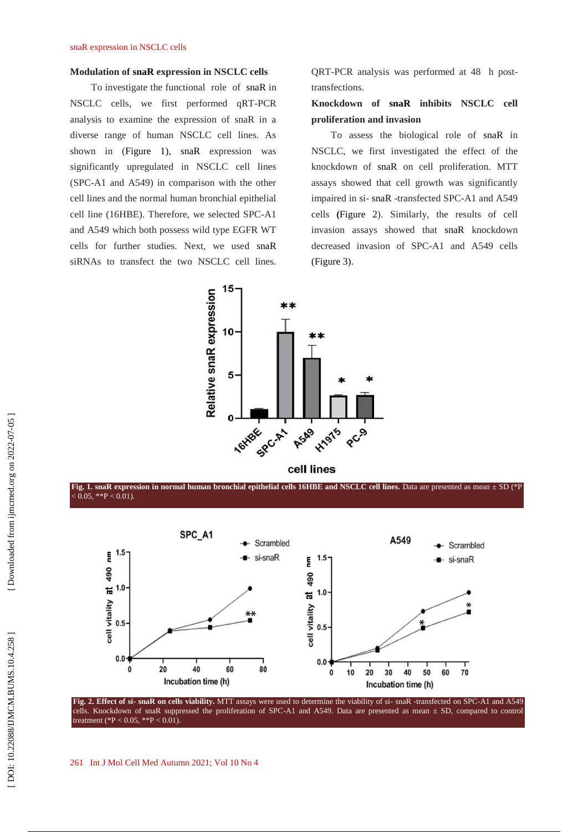### **Modulation of snaR expression in NSCLC cells**

To investigate the functional role of snaR in NSCLC cells, we first performed qRT -PCR analysis to examine the expression of snaR in a diverse range of human NSCLC cell lines. As shown in (Figure 1), snaR expression was significantly upregulated in NSCLC cell lines (SPC -A1 and A549) in comparison with the other cell lines and the normal human bronchial epithelial cell line (16HBE). Therefore, we selected SPC -A1 and A549 which both possess wild type EGFR WT cells for further studies. Next, we used snaR siRNAs to transfect the two NSCLC cell lines.

QRT -PCR analysis was performed at 48 h post transfections.

**Knockdown of snaR inhibits NSCLC cell proliferation and invasion**

To assess the biological role of snaR in NSCLC, we first investigated the effect of the knockdown of snaR on cell proliferation. MTT assays showed that cell growth was significantly impaired in si - snaR -transfected SPC -A1 and A549 cells **(**Figure 2). Similarly, the results of cell invasion assays showed that snaR knockdown decreased invasion of SPC -A1 and A549 cells (Figure 3).







Fig. 2. Effect of si- snaR on cells viability. MTT assays were used to determine the viability of si- snaR -transfected on SPC-A1 and A549 cells. Knockdown of snaR suppressed the proliferation of SPC -A1 and A549. Data are presented as mean ± SD, compared to control treatment (\*P < 0.05, \*\*P < 0.01).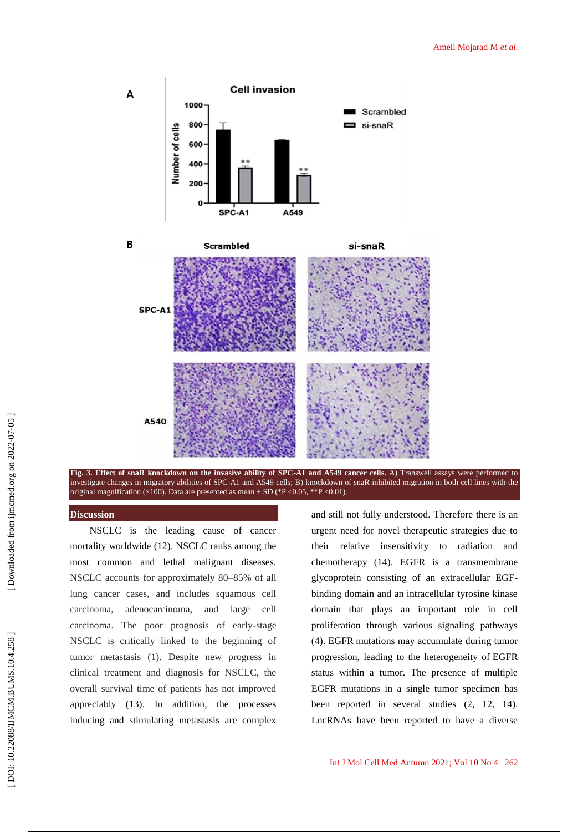





## **Discussion**

A

B

NSCLC is the leading cause of cancer mortality worldwide (12). NSCLC ranks among the most common and lethal malignant diseases. NSCLC accounts for approximately 80 –85% of all lung cancer cases, and includes squamous cell carcinoma, adenocarcinoma, and large cell carcinoma. The poor prognosis of early -stage NSCLC is critically linked to the beginning of tumor metastasis (1). Despite new progress in clinical treatment and diagnosis for NSCLC, the overall survival time of patients has not improved appreciably (13). In addition, the processes inducing and stimulating metastasis are complex

and still not fully understood. Therefore there is an urgent need for novel therapeutic strategies due to their relative insensitivity to radiation and chemotherapy (14). EGFR is a transmembrane glycoprotein consisting of an extracellular EGF binding domain and an intracellular tyrosine kinase domain that plays an important role in cell proliferation through various signaling pathways (4) . EGFR mutations may accumulate during tumor progression, leading to the heterogeneity of EGFR status within a tumor. The presence of multiple EGFR mutations in a single tumor specimen has been reported in several studies (2, 12, 14). LncRNAs have been reported to have a diverse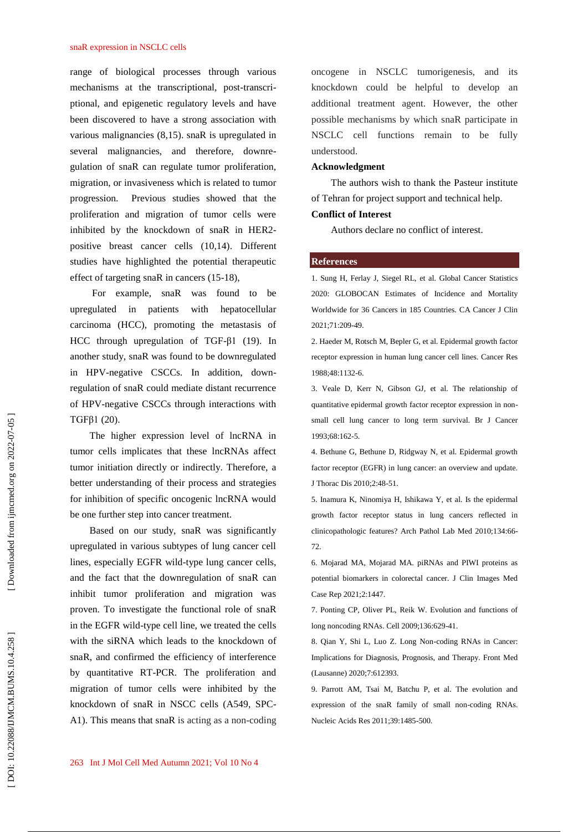#### snaR expression in NSCLC cells

range of biological processes through various mechanisms at the transcriptional, post -transcri ptional, and epigenetic regulatory levels and have been discovered to have a strong association with various malignancies (8,15). snaR is upregulated in several malignancies, and therefore, downre gulation of snaR can regulate tumor proliferation, migration, or invasiveness which is related to tumor progression. Previous studies showed that the proliferation and migration of tumor cells were inhibited by the knockdown of snaR in HER2 positive breast cancer cells (10,14). Different studies have highlighted the potential therapeutic effect of targeting snaR in cancers (15 -18) ,

For example, snaR was found to be upregulated in patients with hepatocellular carcinoma (HCC), promoting the metastasis of HCC through upregulation of TGF-β1 (19). In another study, snaR was found to be downregulated in HPV -negative CSCCs. In addition, down regulation of snaR could mediate distant recurrence of HPV -negative CSCCs through interactions with TGFβ1 (20) .

The higher expression level of lncRNA in tumor cells implicates that these lncRNAs affect tumor initiation directly or indirectly. Therefore, a better understanding of their process and strategies for inhibition of specific oncogenic lncRNA would be one further step into cancer treatment.

Based on our study, snaR was significantly upregulated in various subtypes of lung cancer cell lines, especially EGFR wild -type lung cancer cells, and the fact that the downregulation of snaR can inhibit tumor proliferation and migration was proven. To investigate the functional role of snaR in the EGFR wild -type cell line, we treated the cells with the siRNA which leads to the knockdown of snaR, and confirmed the efficiency of interference by quantitative RT -PCR. The proliferation and migration of tumor cells were inhibited by the knockdown of snaR in NSCC cells (A549, SPC - A1). This means that snaR is acting as a non -coding oncogene in NSCLC tumorigenesis, and its knockdown could be helpful to develop an additional treatment agent. However, the other possible mechanisms by which snaR participate in NSCLC cell functions remain to be fully understood.

#### **Acknowledgment**

The authors wish to thank the Pasteur institute of Tehran for project support and technical help.

### **Conflict of Interest**

Authors declare no conflict of interest.

## **References**

1. Sung H, Ferlay J, Siegel RL, et al. Global Cancer Statistics 2020: GLOBOCAN Estimates of Incidence and Mortality Worldwide for 36 Cancers in 185 Countries. CA Cancer J Clin 2021;71:209 -49.

2. Haeder M, Rotsch M, Bepler G, et al. Epidermal growth factor receptor expression in human lung cancer cell lines. Cancer Res 1988;48:1132 -6.

3. Veale D, Kerr N, Gibson GJ, et al. The relationship of quantitative epidermal growth factor receptor expression in non small cell lung cancer to long term survival. Br J Cancer 1993;68:162 -5.

4. Bethune G, Bethune D, Ridgway N, et al. Epidermal growth factor receptor (EGFR) in lung cancer: an overview and update. J Thorac Dis 2010;2:48 -51.

5. Inamura K, Ninomiya H, Ishikawa Y, et al. Is the epidermal growth factor receptor status in lung cancers reflected in clinicopathologic features? Arch Pathol Lab Med 2010;134:66 - 72.

6. Mojarad MA, Mojarad MA. piRNAs and PIWI proteins as potential biomarkers in colorectal cancer. J Clin Images Med Case Rep 2021;2:1447.

7. Ponting CP, Oliver PL, Reik W. Evolution and functions of long noncoding RNAs. Cell 2009;136:629 -41.

8. Qian Y, Shi L, Luo Z. Long Non -coding RNAs in Cancer: Implications for Diagnosis, Prognosis, and Therapy. Front Med (Lausanne) 2020;7:612393.

9. Parrott AM, Tsai M, Batchu P, et al. The evolution and expression of the snaR family of small non -coding RNAs. Nucleic Acids Res 2011;39:1485 -500.